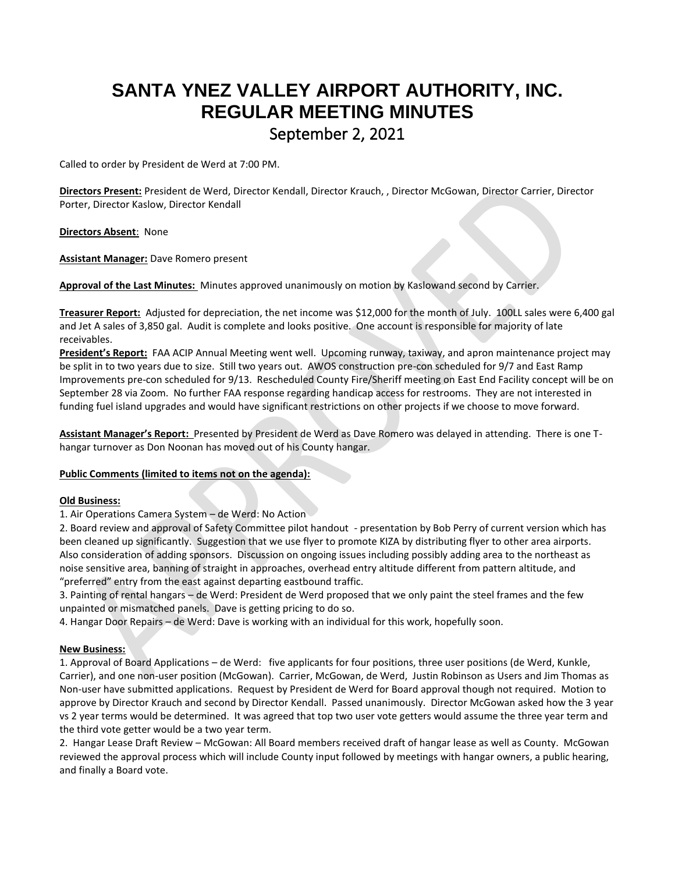# **SANTA YNEZ VALLEY AIRPORT AUTHORITY, INC. REGULAR MEETING MINUTES**

## September 2, 2021

Called to order by President de Werd at 7:00 PM.

**Directors Present:** President de Werd, Director Kendall, Director Krauch, , Director McGowan, Director Carrier, Director Porter, Director Kaslow, Director Kendall

**Directors Absent**: None

**Assistant Manager:** Dave Romero present

**Approval of the Last Minutes:** Minutes approved unanimously on motion by Kaslowand second by Carrier.

**Treasurer Report:** Adjusted for depreciation, the net income was \$12,000 for the month of July. 100LL sales were 6,400 gal and Jet A sales of 3,850 gal. Audit is complete and looks positive. One account is responsible for majority of late receivables.

**President's Report:** FAA ACIP Annual Meeting went well. Upcoming runway, taxiway, and apron maintenance project may be split in to two years due to size. Still two years out. AWOS construction pre-con scheduled for 9/7 and East Ramp Improvements pre-con scheduled for 9/13. Rescheduled County Fire/Sheriff meeting on East End Facility concept will be on September 28 via Zoom. No further FAA response regarding handicap access for restrooms. They are not interested in funding fuel island upgrades and would have significant restrictions on other projects if we choose to move forward.

**Assistant Manager's Report:** Presented by President de Werd as Dave Romero was delayed in attending. There is one Thangar turnover as Don Noonan has moved out of his County hangar.

### **Public Comments (limited to items not on the agenda):**

#### **Old Business:**

1. Air Operations Camera System – de Werd: No Action

2. Board review and approval of Safety Committee pilot handout - presentation by Bob Perry of current version which has been cleaned up significantly. Suggestion that we use flyer to promote KIZA by distributing flyer to other area airports. Also consideration of adding sponsors. Discussion on ongoing issues including possibly adding area to the northeast as noise sensitive area, banning of straight in approaches, overhead entry altitude different from pattern altitude, and "preferred" entry from the east against departing eastbound traffic.

3. Painting of rental hangars – de Werd: President de Werd proposed that we only paint the steel frames and the few unpainted or mismatched panels. Dave is getting pricing to do so.

4. Hangar Door Repairs – de Werd: Dave is working with an individual for this work, hopefully soon.

### **New Business:**

1. Approval of Board Applications – de Werd: five applicants for four positions, three user positions (de Werd, Kunkle, Carrier), and one non-user position (McGowan). Carrier, McGowan, de Werd, Justin Robinson as Users and Jim Thomas as Non-user have submitted applications. Request by President de Werd for Board approval though not required. Motion to approve by Director Krauch and second by Director Kendall. Passed unanimously. Director McGowan asked how the 3 year vs 2 year terms would be determined. It was agreed that top two user vote getters would assume the three year term and the third vote getter would be a two year term.

2. Hangar Lease Draft Review – McGowan: All Board members received draft of hangar lease as well as County. McGowan reviewed the approval process which will include County input followed by meetings with hangar owners, a public hearing, and finally a Board vote.